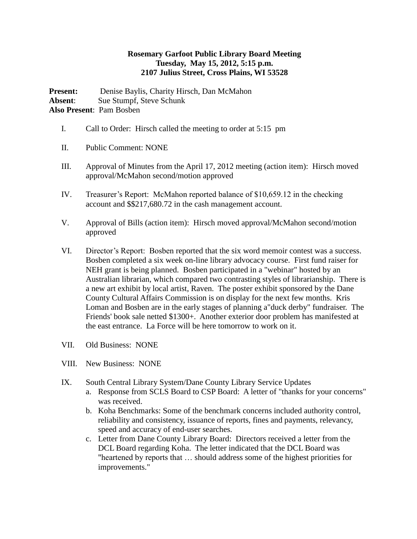## **Rosemary Garfoot Public Library Board Meeting Tuesday, May 15, 2012, 5:15 p.m. 2107 Julius Street, Cross Plains, WI 53528**

**Present:** Denise Baylis, Charity Hirsch, Dan McMahon **Absent**: Sue Stumpf, Steve Schunk **Also Present**: Pam Bosben

- I. Call to Order: Hirsch called the meeting to order at 5:15 pm
- II. Public Comment: NONE
- III. Approval of Minutes from the April 17, 2012 meeting (action item): Hirsch moved approval/McMahon second/motion approved
- IV. Treasurer's Report: McMahon reported balance of \$10,659.12 in the checking account and \$\$217,680.72 in the cash management account.
- V. Approval of Bills (action item): Hirsch moved approval/McMahon second/motion approved
- VI. Director's Report: Bosben reported that the six word memoir contest was a success. Bosben completed a six week on-line library advocacy course. First fund raiser for NEH grant is being planned. Bosben participated in a "webinar" hosted by an Australian librarian, which compared two contrasting styles of librarianship. There is a new art exhibit by local artist, Raven. The poster exhibit sponsored by the Dane County Cultural Affairs Commission is on display for the next few months. Kris Loman and Bosben are in the early stages of planning a"duck derby" fundraiser. The Friends' book sale netted \$1300+. Another exterior door problem has manifested at the east entrance. La Force will be here tomorrow to work on it.
- VII. Old Business: NONE
- VIII. New Business: NONE
- IX. South Central Library System/Dane County Library Service Updates
	- a. Response from SCLS Board to CSP Board: A letter of "thanks for your concerns" was received.
	- b. Koha Benchmarks: Some of the benchmark concerns included authority control, reliability and consistency, issuance of reports, fines and payments, relevancy, speed and accuracy of end-user searches.
	- c. Letter from Dane County Library Board: Directors received a letter from the DCL Board regarding Koha. The letter indicated that the DCL Board was "heartened by reports that … should address some of the highest priorities for improvements."